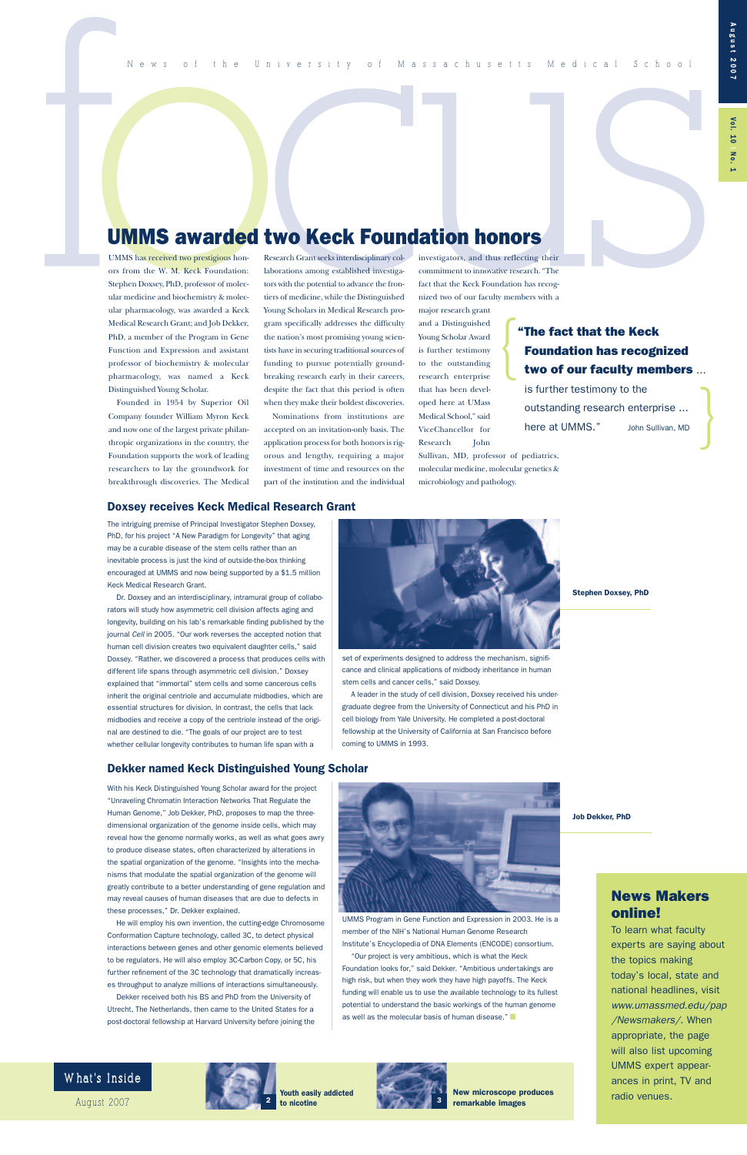major research grant and a Distinguished Young Scholar Award is further testimony to the outstanding research enterprise that has been developed here at UMass Medical School," said ViceChancellor for Research John

Sullivan, MD, professor of pediatrics, molecular medicine, molecular genetics & microbiology and pathology.

|<br>|<br>|

# **UMMS awarded two Keck Foundation honors**

UMMS has received two prestigious honors from the W. M. Keck Foundation: Stephen Doxsey, PhD, professor of molecular medicine and biochemistry & molecular pharmacology, was awarded a Keck Medical Research Grant; and Job Dekker, PhD, a member of the Program in Gene Function and Expression and assistant professor of biochemistry & molecular pharmacology, was named a Keck Distinguished Young Scholar.

Founded in 1954 by Superior Oil Company founder William Myron Keck and now one of the largest private philanthropic organizations in the country, the Foundation supports the work of leading researchers to lay the groundwork for breakthrough discoveries. The Medical

Research Grant seeks interdisciplinary collaborations among established investigators with the potential to advance the frontiers of medicine, while the Distinguished Young Scholars in Medical Research program specifically addresses the difficulty the nation's most promising young scientists have in securing traditional sources of funding to pursue potentially groundbreaking research early in their careers, despite the fact that this period is often when they make their boldest discoveries.

Nominations from institutions are accepted on an invitation-only basis. The application process for both honors is rigorous and lengthy, requiring a major investment of time and resources on the part of the institution and the individual investigators, and thus reflecting their commitment to innovative research. "The fact that the Keck Foundation has recognized two of our faculty members with a |<br>|<br>|

### **News Makers online!**

outstanding research enterprise ... here at UMMS." John Sullivan, MD

> To learn what faculty experts are saying about the topics making today's local, state and national headlines, visit *www.umassmed.edu/pap /Newsmakers/*. When appropriate, the page will also list upcoming UMMS expert appearances in print, TV and radio venues.

### What's Inside

With his Keck Distinguished Young Scholar award for the project "Unraveling Chromatin Interaction Networks That Regulate the Human Genome," Job Dekker, PhD, proposes to map the threedimensional organization of the genome inside cells, which may reveal how the genome normally works, as well as what goes awry to produce disease states, often characterized by alterations in the spatial organization of the genome. "Insights into the mechanisms that modulate the spatial organization of the genome will greatly contribute to a better understanding of gene regulation and may reveal causes of human diseases that are due to defects in these processes," Dr. Dekker explained.



He will employ his own invention, the cutting-edge Chromosome Conformation Capture technology, called 3C, to detect physical interactions between genes and other genomic elements believed to be regulators. He will also employ 3C-Carbon Copy, or 5C, his further refinement of the 3C technology that dramatically increases throughput to analyze millions of interactions simultaneously. Dekker received both his BS and PhD from the University of Utrecht, The Netherlands, then came to the United States for a post-doctoral fellowship at Harvard University before joining the



UMMS Program in Gene Function and Expression in 2003. He is a member of the NIH's National Human Genome Research Institute's Encyclopedia of DNA Elements (ENCODE) consortium.

"Our project is very ambitious, which is what the Keck Foundation looks for," said Dekker. "Ambitious undertakings are high risk, but when they work they have high payoffs. The Keck funding will enable us to use the available technology to its fullest potential to understand the basic workings of the human genome as well as the molecular basis of human disease." **■**

**pg# pg# to nicotine Youth easily addicted**



**Stephen Doxsey, PhD**

**Job Dekker, PhD**

### **"The fact that the Keck Foundation has recognized two of our faculty members** ...

is further testimony to the

The intriguing premise of Principal Investigator Stephen Doxsey, PhD, for his project "A New Paradigm for Longevity" that aging may be a curable disease of the stem cells rather than an inevitable process is just the kind of outside-the-box thinking encouraged at UMMS and now being supported by a \$1.5 million Keck Medical Research Grant.

Dr. Doxsey and an interdisciplinary, intramural group of collaborators will study how asymmetric cell division affects aging and longevity, building on his lab's remarkable finding published by the journal *Cell* in 2005. "Our work reverses the accepted notion that human cell division creates two equivalent daughter cells," said Doxsey. "Rather, we discovered a process that produces cells with different life spans through asymmetric cell division." Doxsey explained that "immortal" stem cells and some cancerous cells inherit the original centriole and accumulate midbodies, which are essential structures for division. In contrast, the cells that lack midbodies and receive a copy of the centriole instead of the original are destined to die. "The goals of our project are to test whether cellular longevity contributes to human life span with a

set of experiments designed to address the mechanism, significance and clinical applications of midbody inheritance in human stem cells and cancer cells," said Doxsey.

A leader in the study of cell division, Doxsey received his undergraduate degree from the University of Connecticut and his PhD in cell biology from Yale University. He completed a post-doctoral fellowship at the University of California at San Francisco before coming to UMMS in 1993.

### **Doxsey receives Keck Medical Research Grant**



**New microscope produces remarkable images**

August 20 07 **<sup>2</sup> <sup>3</sup>**

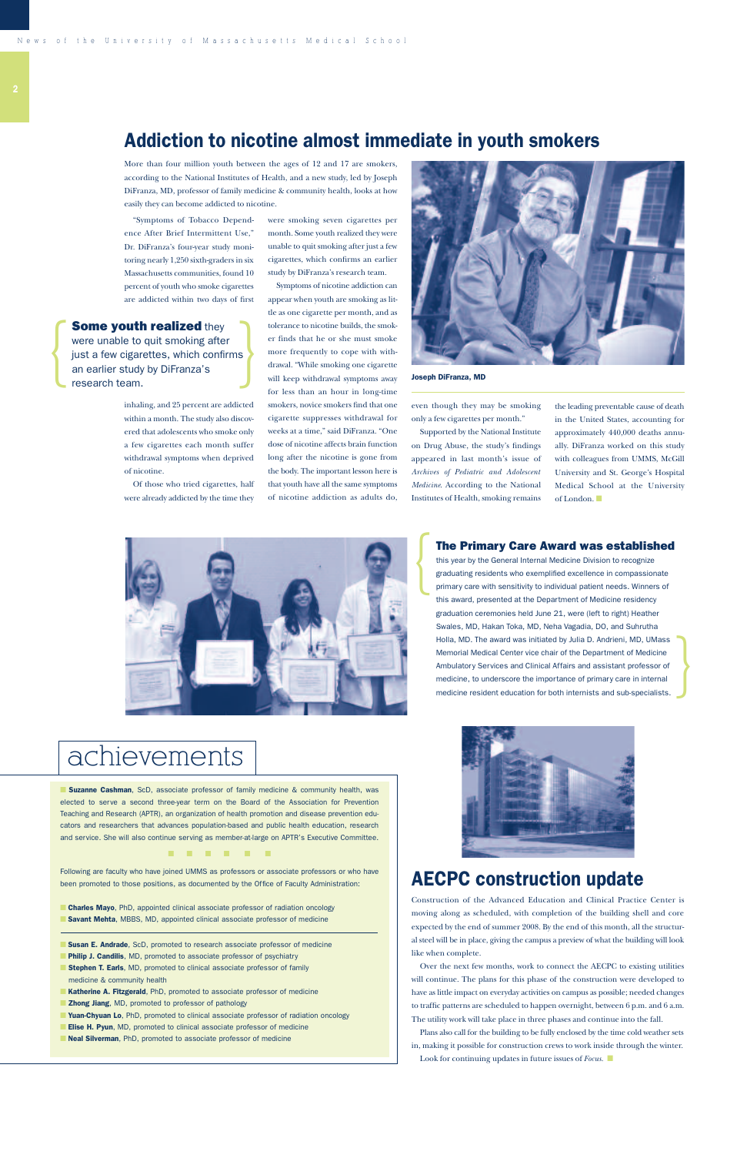More than four million youth between the ages of 12 and 17 are smokers, according to the National Institutes of Health, and a new study, led by Joseph DiFranza, MD, professor of family medicine & community health, looks at how easily they can become addicted to nicotine.

"Symptoms of Tobacco Dependence After Brief Intermittent Use," Dr. DiFranza's four-year study monitoring nearly 1,250 sixth-graders in six Massachusetts communities, found 10 percent of youth who smoke cigarettes are addicted within two days of first

inhaling, and 25 percent are addicted within a month. The study also discovered that adolescents who smoke only a few cigarettes each month suffer withdrawal symptoms when deprived of nicotine.

Of those who tried cigarettes, half were already addicted by the time they

were smoking seven cigarettes per month. Some youth realized they were unable to quit smoking after just a few cigarettes, which confirms an earlier study by DiFranza's research team.

■ **Suzanne Cashman**, ScD, associate professor of family medicine & community health, was elected to serve a second three-year term on the Board of the Association for Prevention Teaching and Research (APTR), an organization of health promotion and disease prevention educators and researchers that advances population-based and public health education, research and service. She will also continue serving as member-at-large on APTR's Executive Committee.

Symptoms of nicotine addiction can appear when youth are smoking as little as one cigarette per month, and as tolerance to nicotine builds, the smoker finds that he or she must smoke more frequently to cope with withdrawal. "While smoking one cigarette will keep withdrawal symptoms away for less than an hour in long-time smokers, novice smokers find that one cigarette suppresses withdrawal for weeks at a time," said DiFranza. "One dose of nicotine affects brain function long after the nicotine is gone from the body. The important lesson here is that youth have all the same symptoms of nicotine addiction as adults do,



- **Philip J. Candilis**, MD, promoted to associate professor of psychiatry
- **Stephen T. Earls**, MD, promoted to clinical associate professor of family medicine & community health
- **Katherine A. Fitzgerald**, PhD, promoted to associate professor of medicine
- **Zhong Jiang**, MD, promoted to professor of pathology

■ **Yuan-Chyuan Lo**, PhD, promoted to clinical associate professor of radiation oncology ■ **Elise H. Pyun**, MD, promoted to clinical associate professor of medicine

■ **Neal Silverman**, PhD, promoted to associate professor of medicine



### **Addiction to nicotine almost immediate in youth smokers**

even though they may be smoking only a few cigarettes per month."

Supported by the National Institute on Drug Abuse, the study's findings appeared in last month's issue of *Archives of Pediatric and Adolescent Medicine*. According to the National Institutes of Health, smoking remains

{

**Some youth realized** they<br>were unable to quit smoking after<br>just a few cigarettes, which confirms<br>an earlier study by DiFranza's<br>research team were unable to quit smoking after iust a few cigarettes, which confirms an earlier study by DiFranza's research team.

### **■ ■ ■ ■ ■ ■**

Following are faculty who have joined UMMS as professors or associate professors or who have been promoted to those positions, as documented by the Office of Faculty Administration:

■ **Charles Mayo**, PhD, appointed clinical associate professor of radiation oncology ■ **Savant Mehta**, MBBS, MD, appointed clinical associate professor of medicine

**■ Susan E. Andrade**, ScD, promoted to research associate professor of medicine

### **The Primary Care Award was established**

this year by the General Internal Medicine Division to recognize graduating residents who exemplified excellence in compassionate primary care with sensitivity to individual patient needs. Winners of this award, presented at the Department of Medicine residency graduation ceremonies held June 21, were (left to right) Heather Swales, MD, Hakan Toka, MD, Neha Vagadia, DO, and Suhrutha Holla, MD. The award was initiated by Julia D. Andrieni, MD, UMass Memorial Medical Center vice chair of the Department of Medicine Ambulatory Services and Clinical Affairs and assistant professor of medicine, to underscore the importance of primary care in internal medicine resident education for both internists and sub-specialists.



#### **Joseph DiFranza, MD**

the leading preventable cause of death in the United States, accounting for approximately 440,000 deaths annually. DiFranza worked on this study with colleagues from UMMS, McGill University and St. George's Hospital Medical School at the University of London. **■**

}



# achievements

## **AECPC construction update**

Construction of the Advanced Education and Clinical Practice Center is moving along as scheduled, with completion of the building shell and core expected by the end of summer 2008. By the end of this month, all the structural steel will be in place, giving the campus a preview of what the building will look like when complete.

Over the next few months, work to connect the AECPC to existing utilities will continue. The plans for this phase of the construction were developed to have as little impact on everyday activities on campus as possible; needed changes to traffic patterns are scheduled to happen overnight, between 6 p.m. and 6 a.m. The utility work will take place in three phases and continue into the fall. Plans also call for the building to be fully enclosed by the time cold weather sets

in, making it possible for construction crews to work inside through the winter. Look for continuing updates in future issues of *Focus.* **■**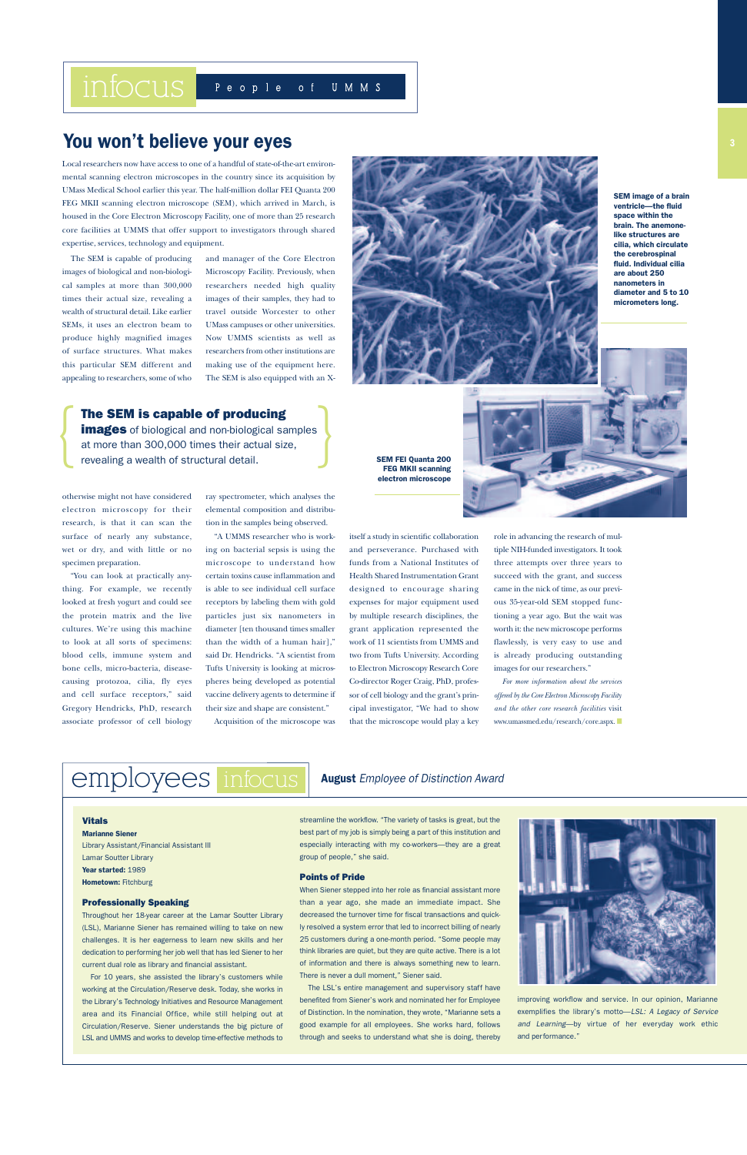The SEM is capable of producing images of biological and non-biological samples at more than 300,000 times their actual size, revealing a wealth of structural detail. Like earlier SEMs, it uses an electron beam to produce highly magnified images of surface structures. What makes this particular SEM different and appealing to researchers, some of who

otherwise might not have considered electron microscopy for their research, is that it can scan the surface of nearly any substance, wet or dry, and with little or no specimen preparation.

"You can look at practically anything. For example, we recently looked at fresh yogurt and could see the protein matrix and the live cultures. We're using this machine to look at all sorts of specimens: blood cells, immune system and bone cells, micro-bacteria, diseasecausing protozoa, cilia, fly eyes and cell surface receptors," said Gregory Hendricks, PhD, research associate professor of cell biology

and manager of the Core Electron Microscopy Facility. Previously, when researchers needed high quality images of their samples, they had to travel outside Worcester to other UMass campuses or other universities. Now UMMS scientists as well as researchers from other institutions are making use of the equipment here. The SEM is also equipped with an X-

ray spectrometer, which analyses the elemental composition and distribution in the samples being observed.

"A UMMS researcher who is working on bacterial sepsis is using the microscope to understand how certain toxins cause inflammation and is able to see individual cell surface receptors by labeling them with gold particles just six nanometers in diameter [ten thousand times smaller than the width of a human hair]," said Dr. Hendricks. "A scientist from Tufts University is looking at microspheres being developed as potential vaccine delivery agents to determine if their size and shape are consistent."

Acquisition of the microscope was

### **You won't believe your eyes**

#### **Vitals**

**Marianne Siener** Library Assistant/Financial Assistant III

Lamar Soutter Library **Year started:** 1989 **Hometown:** Fitchburg

#### **Professionally Speaking**

Throughout her 18-year career at the Lamar Soutter Library (LSL), Marianne Siener has remained willing to take on new challenges. It is her eagerness to learn new skills and her dedication to performing her job well that has led Siener to her current dual role as library and financial assistant.

employees infocus

For 10 years, she assisted the library's customers while working at the Circulation/Reserve desk. Today, she works in the Library's Technology Initiatives and Resource Management area and its Financial Office, while still helping out at Circulation/Reserve. Siener understands the big picture of LSL and UMMS and works to develop time-effective methods to

streamline the workflow. "The variety of tasks is great, but the best part of my job is simply being a part of this institution and especially interacting with my co-workers—they are a great



group of people," she said.

#### **Points of Pride**



role in advancing the research of multiple NIH-funded investigators. It took three attempts over three years to succeed with the grant, and success came in the nick of time, as our previous 35-year-old SEM stopped functioning a year ago. But the wait was worth it: the new microscope performs flawlessly, is very easy to use and is already producing outstanding images for our researchers."

When Siener stepped into her role as financial assistant more than a year ago, she made an immediate impact. She decreased the turnover time for fiscal transactions and quickly resolved a system error that led to incorrect billing of nearly 25 customers during a one-month period. "Some people may think libraries are quiet, but they are quite active. There is a lot of information and there is always something new to learn. There is never a dull moment," Siener said.

The LSL's entire management and supervisory staff have benefited from Siener's work and nominated her for Employee of Distinction. In the nomination, they wrote, "Marianne sets a good example for all employees. She works hard, follows through and seeks to understand what she is doing, thereby



improving workflow and service. In our opinion, Marianne exemplifies the library's motto—*LSL: A Legacy of Service*  and Learning-by virtue of her everyday work ethic and performance."

### **August** *Employee of Distinction Award*



**SEM image of a brain ventricle—the fluid space within the brain. The anemonelike structures are cilia, which circulate the cerebrospinal fluid. Individual cilia are about 250 nanometers in diameter and 5 to 10 micrometers long.** 

*For more information about the services offered by the Core Electron Microscopy Facility and the other core research facilities* visit www.umassmed.edu/research/core.aspx. **■**

Local researchers now have access to one of a handful of state-of-the-art environmental scanning electron microscopes in the country since its acquisition by UMass Medical School earlier this year. The half-million dollar FEI Quanta 200 FEG MKII scanning electron microscope (SEM), which arrived in March, is housed in the Core Electron Microscopy Facility, one of more than 25 research core facilities at UMMS that offer support to investigators through shared expertise, services, technology and equipment.

{

### **The SEM is capable of producing**

**images** of biological and non-biological samples at more than 300,000 times their actual size, **The SEM is capable of producing<br>
images** of biological and non-biological samples<br>
at more than 300,000 times their actual size,<br>
revealing a wealth of structural detail.

**FEG MKII scanning electron microscope**